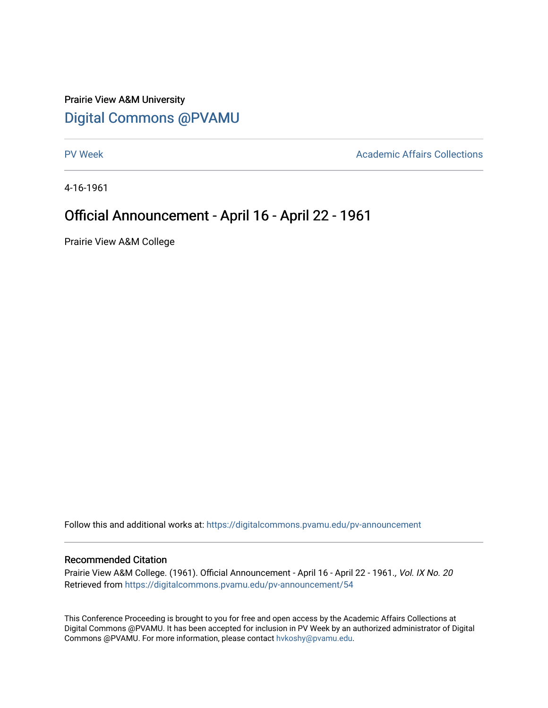## Prairie View A&M University [Digital Commons @PVAMU](https://digitalcommons.pvamu.edu/)

[PV Week](https://digitalcommons.pvamu.edu/pv-announcement) **Academic Affairs Collections** 

4-16-1961

## Official Announcement - April 16 - April 22 - 1961

Prairie View A&M College

Follow this and additional works at: [https://digitalcommons.pvamu.edu/pv-announcement](https://digitalcommons.pvamu.edu/pv-announcement?utm_source=digitalcommons.pvamu.edu%2Fpv-announcement%2F54&utm_medium=PDF&utm_campaign=PDFCoverPages) 

## Recommended Citation

Prairie View A&M College. (1961). Official Announcement - April 16 - April 22 - 1961., Vol. IX No. 20 Retrieved from [https://digitalcommons.pvamu.edu/pv-announcement/54](https://digitalcommons.pvamu.edu/pv-announcement/54?utm_source=digitalcommons.pvamu.edu%2Fpv-announcement%2F54&utm_medium=PDF&utm_campaign=PDFCoverPages) 

This Conference Proceeding is brought to you for free and open access by the Academic Affairs Collections at Digital Commons @PVAMU. It has been accepted for inclusion in PV Week by an authorized administrator of Digital Commons @PVAMU. For more information, please contact [hvkoshy@pvamu.edu.](mailto:hvkoshy@pvamu.edu)